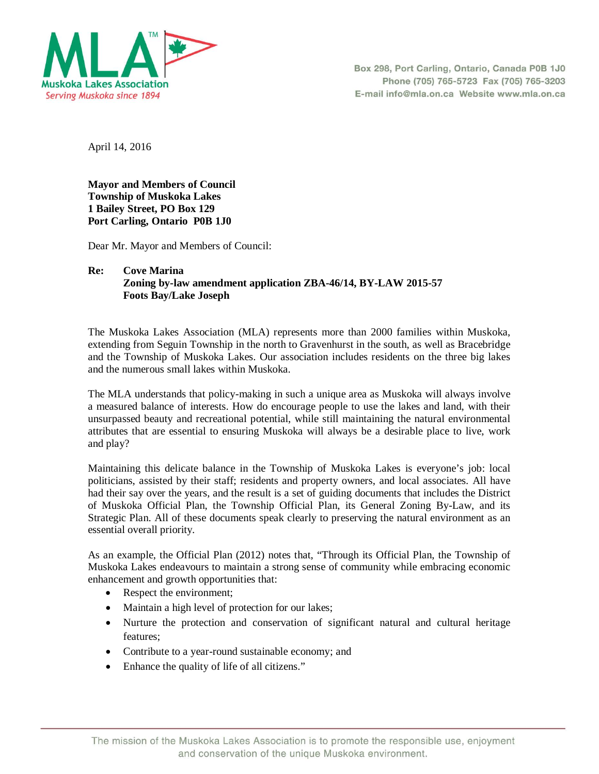

Box 298, Port Carling, Ontario, Canada P0B 1J0 Phone (705) 765-5723 Fax (705) 765-3203 E-mail info@mla.on.ca Website www.mla.on.ca

April 14, 2016

**Mayor and Members of Council Township of Muskoka Lakes 1 Bailey Street, PO Box 129 Port Carling, Ontario P0B 1J0**

Dear Mr. Mayor and Members of Council:

## **Re: Cove Marina Zoning by-law amendment application ZBA-46/14, BY-LAW 2015-57 Foots Bay/Lake Joseph**

The Muskoka Lakes Association (MLA) represents more than 2000 families within Muskoka, extending from Seguin Township in the north to Gravenhurst in the south, as well as Bracebridge and the Township of Muskoka Lakes. Our association includes residents on the three big lakes and the numerous small lakes within Muskoka.

The MLA understands that policy-making in such a unique area as Muskoka will always involve a measured balance of interests. How do encourage people to use the lakes and land, with their unsurpassed beauty and recreational potential, while still maintaining the natural environmental attributes that are essential to ensuring Muskoka will always be a desirable place to live, work and play?

Maintaining this delicate balance in the Township of Muskoka Lakes is everyone's job: local politicians, assisted by their staff; residents and property owners, and local associates. All have had their say over the years, and the result is a set of guiding documents that includes the District of Muskoka Official Plan, the Township Official Plan, its General Zoning By-Law, and its Strategic Plan. All of these documents speak clearly to preserving the natural environment as an essential overall priority.

As an example, the Official Plan (2012) notes that, "Through its Official Plan, the Township of Muskoka Lakes endeavours to maintain a strong sense of community while embracing economic enhancement and growth opportunities that:

- Respect the environment;
- Maintain a high level of protection for our lakes;
- Nurture the protection and conservation of significant natural and cultural heritage features;
- Contribute to a year-round sustainable economy; and
- Enhance the quality of life of all citizens."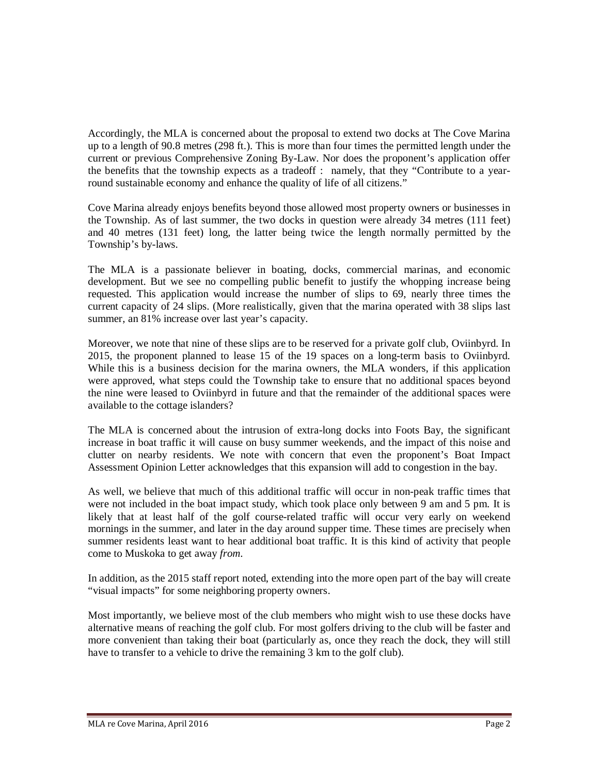Accordingly, the MLA is concerned about the proposal to extend two docks at The Cove Marina up to a length of 90.8 metres (298 ft.). This is more than four times the permitted length under the current or previous Comprehensive Zoning By-Law. Nor does the proponent's application offer the benefits that the township expects as a tradeoff : namely, that they "Contribute to a yearround sustainable economy and enhance the quality of life of all citizens."

Cove Marina already enjoys benefits beyond those allowed most property owners or businesses in the Township. As of last summer, the two docks in question were already 34 metres (111 feet) and 40 metres (131 feet) long, the latter being twice the length normally permitted by the Township's by-laws.

The MLA is a passionate believer in boating, docks, commercial marinas, and economic development. But we see no compelling public benefit to justify the whopping increase being requested. This application would increase the number of slips to 69, nearly three times the current capacity of 24 slips. (More realistically, given that the marina operated with 38 slips last summer, an 81% increase over last year's capacity.

Moreover, we note that nine of these slips are to be reserved for a private golf club, Oviinbyrd. In 2015, the proponent planned to lease 15 of the 19 spaces on a long-term basis to Oviinbyrd. While this is a business decision for the marina owners, the MLA wonders, if this application were approved, what steps could the Township take to ensure that no additional spaces beyond the nine were leased to Oviinbyrd in future and that the remainder of the additional spaces were available to the cottage islanders?

The MLA is concerned about the intrusion of extra-long docks into Foots Bay, the significant increase in boat traffic it will cause on busy summer weekends, and the impact of this noise and clutter on nearby residents. We note with concern that even the proponent's Boat Impact Assessment Opinion Letter acknowledges that this expansion will add to congestion in the bay.

As well, we believe that much of this additional traffic will occur in non-peak traffic times that were not included in the boat impact study, which took place only between 9 am and 5 pm. It is likely that at least half of the golf course-related traffic will occur very early on weekend mornings in the summer, and later in the day around supper time. These times are precisely when summer residents least want to hear additional boat traffic. It is this kind of activity that people come to Muskoka to get away *from*.

In addition, as the 2015 staff report noted, extending into the more open part of the bay will create "visual impacts" for some neighboring property owners.

Most importantly, we believe most of the club members who might wish to use these docks have alternative means of reaching the golf club. For most golfers driving to the club will be faster and more convenient than taking their boat (particularly as, once they reach the dock, they will still have to transfer to a vehicle to drive the remaining 3 km to the golf club).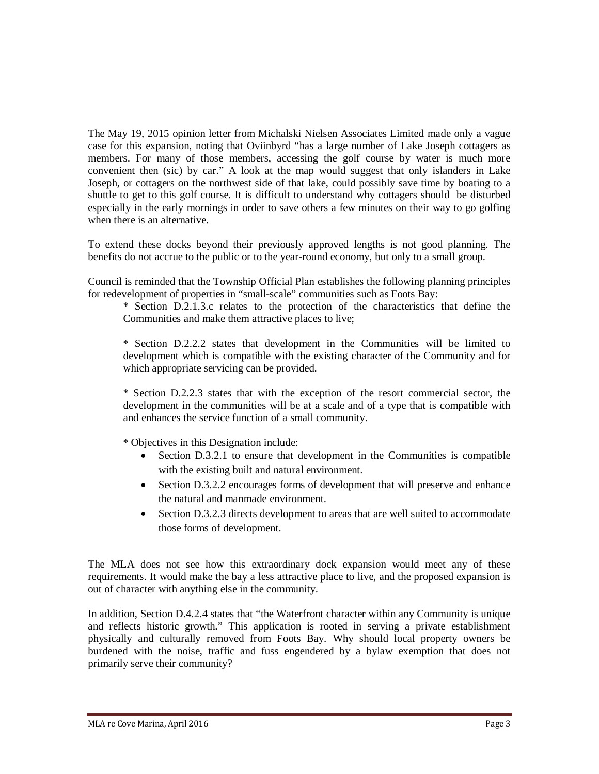The May 19, 2015 opinion letter from Michalski Nielsen Associates Limited made only a vague case for this expansion, noting that Oviinbyrd "has a large number of Lake Joseph cottagers as members. For many of those members, accessing the golf course by water is much more convenient then (sic) by car." A look at the map would suggest that only islanders in Lake Joseph, or cottagers on the northwest side of that lake, could possibly save time by boating to a shuttle to get to this golf course. It is difficult to understand why cottagers should be disturbed especially in the early mornings in order to save others a few minutes on their way to go golfing when there is an alternative.

To extend these docks beyond their previously approved lengths is not good planning. The benefits do not accrue to the public or to the year-round economy, but only to a small group.

Council is reminded that the Township Official Plan establishes the following planning principles for redevelopment of properties in "small-scale" communities such as Foots Bay:

\* Section D.2.1.3.c relates to the protection of the characteristics that define the Communities and make them attractive places to live;

\* Section D.2.2.2 states that development in the Communities will be limited to development which is compatible with the existing character of the Community and for which appropriate servicing can be provided.

\* Section D.2.2.3 states that with the exception of the resort commercial sector, the development in the communities will be at a scale and of a type that is compatible with and enhances the service function of a small community.

\* Objectives in this Designation include:

- Section D.3.2.1 to ensure that development in the Communities is compatible with the existing built and natural environment.
- Section D.3.2.2 encourages forms of development that will preserve and enhance the natural and manmade environment.
- Section D.3.2.3 directs development to areas that are well suited to accommodate those forms of development.

The MLA does not see how this extraordinary dock expansion would meet any of these requirements. It would make the bay a less attractive place to live, and the proposed expansion is out of character with anything else in the community.

In addition, Section D.4.2.4 states that "the Waterfront character within any Community is unique and reflects historic growth." This application is rooted in serving a private establishment physically and culturally removed from Foots Bay. Why should local property owners be burdened with the noise, traffic and fuss engendered by a bylaw exemption that does not primarily serve their community?